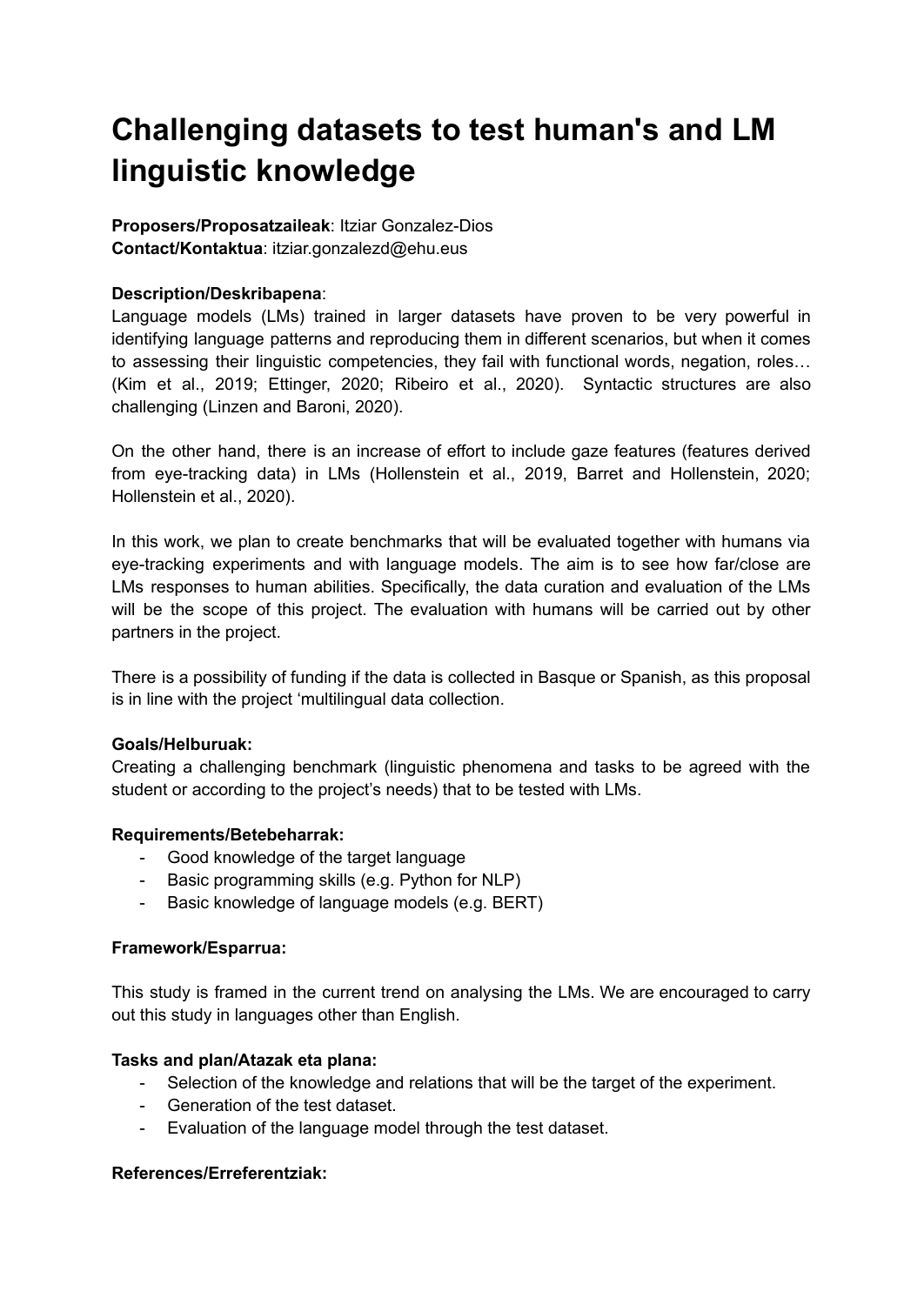# **Challenging datasets to test human's and LM linguistic knowledge**

**Proposers/Proposatzaileak**: Itziar Gonzalez-Dios **Contact/Kontaktua**: itziar.gonzalezd@ehu.eus

## **Description/Deskribapena**:

Language models (LMs) trained in larger datasets have proven to be very powerful in identifying language patterns and reproducing them in different scenarios, but when it comes to assessing their linguistic competencies, they fail with functional words, negation, roles… (Kim et al., 2019; Ettinger, 2020; Ribeiro et al., 2020). Syntactic structures are also challenging (Linzen and Baroni, 2020).

On the other hand, there is an increase of effort to include gaze features (features derived from eye-tracking data) in LMs (Hollenstein et al., 2019, Barret and Hollenstein, 2020; Hollenstein et al., 2020).

In this work, we plan to create benchmarks that will be evaluated together with humans via eye-tracking experiments and with language models. The aim is to see how far/close are LMs responses to human abilities. Specifically, the data curation and evaluation of the LMs will be the scope of this project. The evaluation with humans will be carried out by other partners in the project.

There is a possibility of funding if the data is collected in Basque or Spanish, as this proposal is in line with the project 'multilingual data collection.

### **Goals/Helburuak:**

Creating a challenging benchmark (linguistic phenomena and tasks to be agreed with the student or according to the project's needs) that to be tested with LMs.

### **Requirements/Betebeharrak:**

- Good knowledge of the target language
- Basic programming skills (e.g. Python for NLP)
- Basic knowledge of language models (e.g. BERT)

### **Framework/Esparrua:**

This study is framed in the current trend on analysing the LMs. We are encouraged to carry out this study in languages other than English.

### **Tasks and plan/Atazak eta plana:**

- Selection of the knowledge and relations that will be the target of the experiment.
- Generation of the test dataset.
- Evaluation of the language model through the test dataset.

### **References/Erreferentziak:**